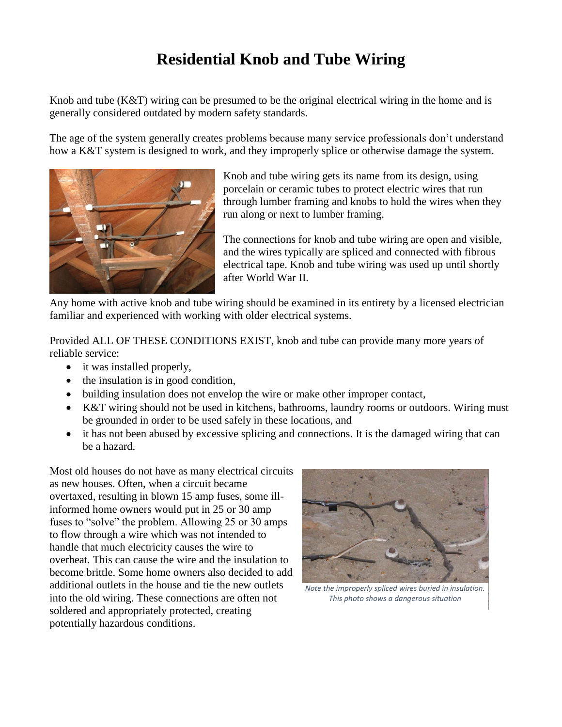## **Residential Knob and Tube Wiring**

Knob and tube (K&T) wiring can be presumed to be the original electrical wiring in the home and is generally considered outdated by modern safety standards.

The age of the system generally creates problems because many service professionals don't understand how a K&T system is designed to work, and they improperly splice or otherwise damage the system.



Knob and tube wiring gets its name from its design, using porcelain or ceramic tubes to protect electric wires that run through lumber framing and knobs to hold the wires when they run along or next to lumber framing.

The connections for knob and tube wiring are open and visible, and the wires typically are spliced and connected with fibrous electrical tape. Knob and tube wiring was used up until shortly after World War II.

Any home with active knob and tube wiring should be examined in its entirety by a licensed electrician familiar and experienced with working with older electrical systems.

Provided ALL OF THESE CONDITIONS EXIST, knob and tube can provide many more years of reliable service:

- it was installed properly,
- the insulation is in good condition,
- building insulation does not envelop the wire or make other improper contact,
- K&T wiring should not be used in kitchens, bathrooms, laundry rooms or outdoors. Wiring must be grounded in order to be used safely in these locations, and
- it has not been abused by excessive splicing and connections. It is the damaged wiring that can be a hazard.

Most old houses do not have as many electrical circuits as new houses. Often, when a circuit became overtaxed, resulting in blown 15 amp fuses, some illinformed home owners would put in 25 or 30 amp fuses to "solve" the problem. Allowing 25 or 30 amps to flow through a wire which was not intended to handle that much electricity causes the wire to overheat. This can cause the wire and the insulation to become brittle. Some home owners also decided to add additional outlets in the house and tie the new outlets into the old wiring. These connections are often not soldered and appropriately protected, creating potentially hazardous conditions.



*Note the improperly spliced wires buried in insulation. This photo shows a dangerous situation*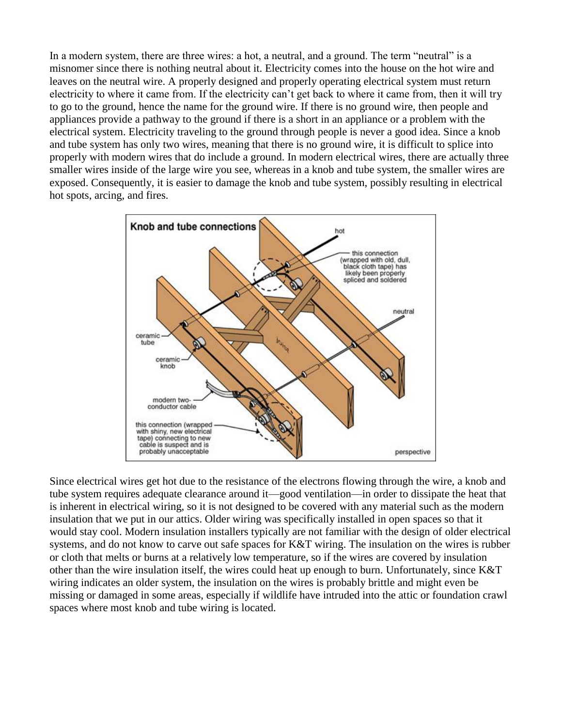In a modern system, there are three wires: a hot, a neutral, and a ground. The term "neutral" is a misnomer since there is nothing neutral about it. Electricity comes into the house on the hot wire and leaves on the neutral wire. A properly designed and properly operating electrical system must return electricity to where it came from. If the electricity can't get back to where it came from, then it will try to go to the ground, hence the name for the ground wire. If there is no ground wire, then people and appliances provide a pathway to the ground if there is a short in an appliance or a problem with the electrical system. Electricity traveling to the ground through people is never a good idea. Since a knob and tube system has only two wires, meaning that there is no ground wire, it is difficult to splice into properly with modern wires that do include a ground. In modern electrical wires, there are actually three smaller wires inside of the large wire you see, whereas in a knob and tube system, the smaller wires are exposed. Consequently, it is easier to damage the knob and tube system, possibly resulting in electrical hot spots, arcing, and fires.



Since electrical wires get hot due to the resistance of the electrons flowing through the wire, a knob and tube system requires adequate clearance around it—good ventilation—in order to dissipate the heat that is inherent in electrical wiring, so it is not designed to be covered with any material such as the modern insulation that we put in our attics. Older wiring was specifically installed in open spaces so that it would stay cool. Modern insulation installers typically are not familiar with the design of older electrical systems, and do not know to carve out safe spaces for K&T wiring. The insulation on the wires is rubber or cloth that melts or burns at a relatively low temperature, so if the wires are covered by insulation other than the wire insulation itself, the wires could heat up enough to burn. Unfortunately, since K&T wiring indicates an older system, the insulation on the wires is probably brittle and might even be missing or damaged in some areas, especially if wildlife have intruded into the attic or foundation crawl spaces where most knob and tube wiring is located.